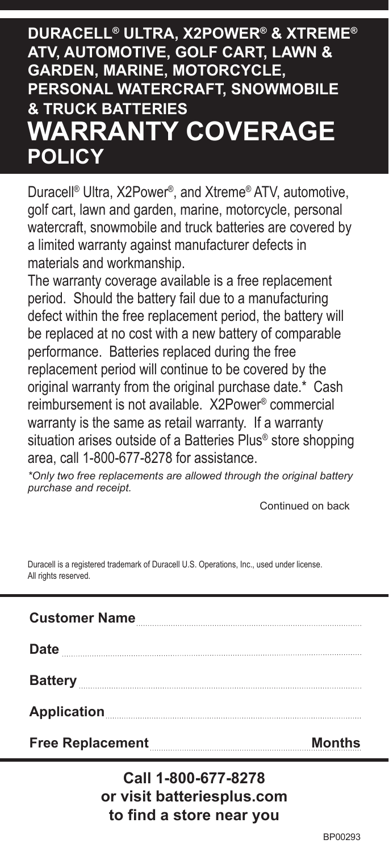## **DURACELL® ULTRA, X2POWER® & XTREME® ATV, AUTOMOTIVE, GOLF CART, LAWN & GARDEN, MARINE, MOTORCYCLE, PERSONAL WATERCRAFT, SNOWMOBILE & TRUCK BATTERIES WARRANTY COVERAGE POLICY**

Duracell® Ultra, X2Power®, and Xtreme® ATV, automotive, golf cart, lawn and garden, marine, motorcycle, personal watercraft, snowmobile and truck batteries are covered by a limited warranty against manufacturer defects in materials and workmanship.

The warranty coverage available is a free replacement period. Should the battery fail due to a manufacturing defect within the free replacement period, the battery will be replaced at no cost with a new battery of comparable performance. Batteries replaced during the free replacement period will continue to be covered by the original warranty from the original purchase date.\* Cash reimbursement is not available. X2Power® commercial warranty is the same as retail warranty. If a warranty situation arises outside of a Batteries Plus<sup>®</sup> store shopping area, call 1-800-677-8278 for assistance.

*\*Only two free replacements are allowed through the original battery purchase and receipt.*

Continued on back

Duracell is a registered trademark of Duracell U.S. Operations, Inc., used under license. All rights reserved.

| Free Replacement                                  | <b>Months</b> |
|---------------------------------------------------|---------------|
| Application <b>Manual Property of Application</b> |               |
|                                                   |               |
| <b>Date</b>                                       |               |
| <b>Customer Name</b>                              |               |

**Call 1-800-677-8278 or visit batteriesplus.com to find a store near you**